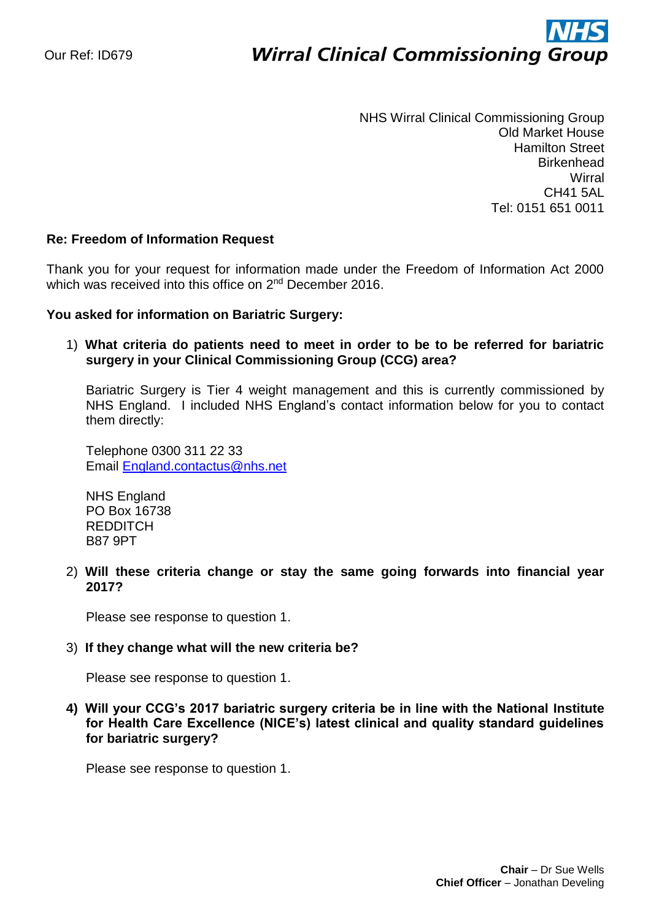# ì **Wirral Clinical Commissioning Group**

NHS Wirral Clinical Commissioning Group Old Market House Hamilton Street **Birkenhead Wirral** CH41 5AL Tel: 0151 651 0011

# **Re: Freedom of Information Request**

Thank you for your request for information made under the Freedom of Information Act 2000 which was received into this office on 2<sup>nd</sup> December 2016.

#### **You asked for information on Bariatric Surgery:**

# 1) **What criteria do patients need to meet in order to be to be referred for bariatric surgery in your Clinical Commissioning Group (CCG) area?**

Bariatric Surgery is Tier 4 weight management and this is currently commissioned by NHS England. I included NHS England's contact information below for you to contact them directly:

Telephone 0300 311 22 33 Email [England.contactus@nhs.net](mailto:England.contactus@nhs.net)

NHS England PO Box 16738 REDDITCH B87 9PT

2) **Will these criteria change or stay the same going forwards into financial year 2017?** 

Please see response to question 1.

#### 3) **If they change what will the new criteria be?**

Please see response to question 1.

**4) Will your CCG's 2017 bariatric surgery criteria be in line with the National Institute for Health Care Excellence (NICE's) latest clinical and quality standard guidelines for bariatric surgery?**

Please see response to question 1.